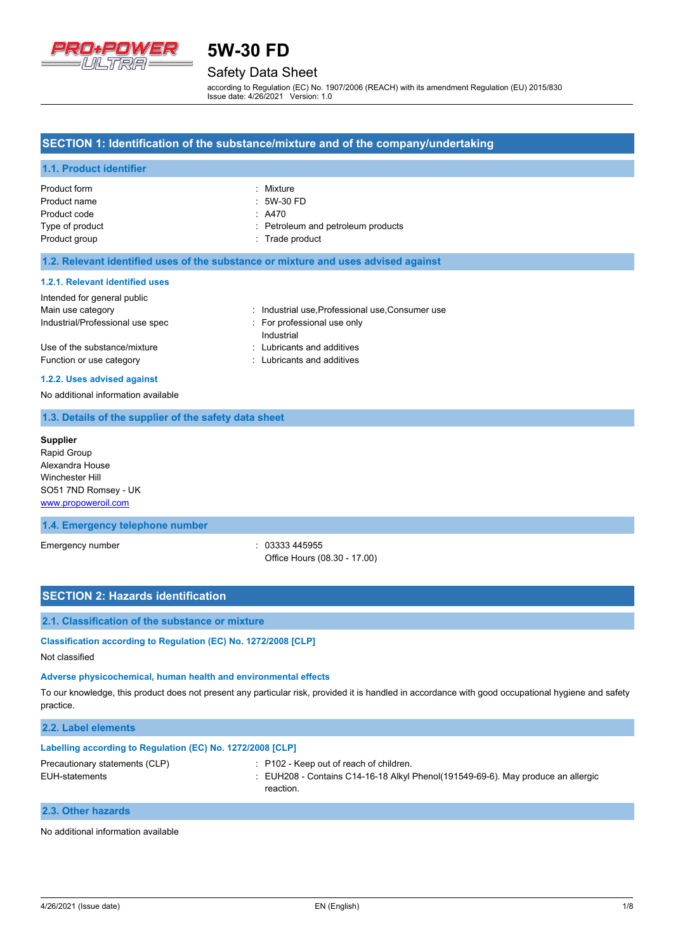

## Safety Data Sheet

according to Regulation (EC) No. 1907/2006 (REACH) with its amendment Regulation (EU) 2015/830 Issue date: 4/26/2021 Version: 1.0

### **SECTION 1: Identification of the substance/mixture and of the company/undertaking**

### **1.1. Product identifier**

| Product form    | : Mixture                          |
|-----------------|------------------------------------|
| Product name    | $:5W-30FD$                         |
| Product code    | $\therefore$ A470                  |
| Type of product | : Petroleum and petroleum products |
| Product group   | : Trade product                    |

#### **1.2. Relevant identified uses of the substance or mixture and uses advised against**

#### **1.2.1. Relevant identified uses**

| Intended for general public      |                                                |
|----------------------------------|------------------------------------------------|
| Main use category                | : Industrial use Professional use Consumer use |
| Industrial/Professional use spec | For professional use only<br>Industrial        |
| Use of the substance/mixture     | : Lubricants and additives                     |
| Function or use category         | : Lubricants and additives                     |

#### **1.2.2. Uses advised against**

No additional information available

#### **1.3. Details of the supplier of the safety data sheet**

**Supplier** Rapid Group Alexandra House Winchester Hill SO51 7ND Romsey - UK <www.propoweroil.com>

### **1.4. Emergency telephone number**

Emergency number  $\sim$  03333 445955

Office Hours (08.30 - 17.00)

#### **SECTION 2: Hazards identification**

#### **2.1. Classification of the substance or mixture**

## **Classification according to Regulation (EC) No. 1272/2008 [CLP]**

Not classified

#### **Adverse physicochemical, human health and environmental effects**

To our knowledge, this product does not present any particular risk, provided it is handled in accordance with good occupational hygiene and safety practice.

### **2.2. Label elements**

| Labelling according to Regulation (EC) No. 1272/2008 [CLP] |                                                                                                                                                         |
|------------------------------------------------------------|---------------------------------------------------------------------------------------------------------------------------------------------------------|
| Precautionary statements (CLP)<br>EUH-statements           | $\therefore$ P102 - Keep out of reach of children.<br>$\pm$ EUH208 - Contains C14-16-18 Alkyl Phenol(191549-69-6). May produce an allergic<br>reaction. |
| 2.3. Other hazards                                         |                                                                                                                                                         |

## No additional information available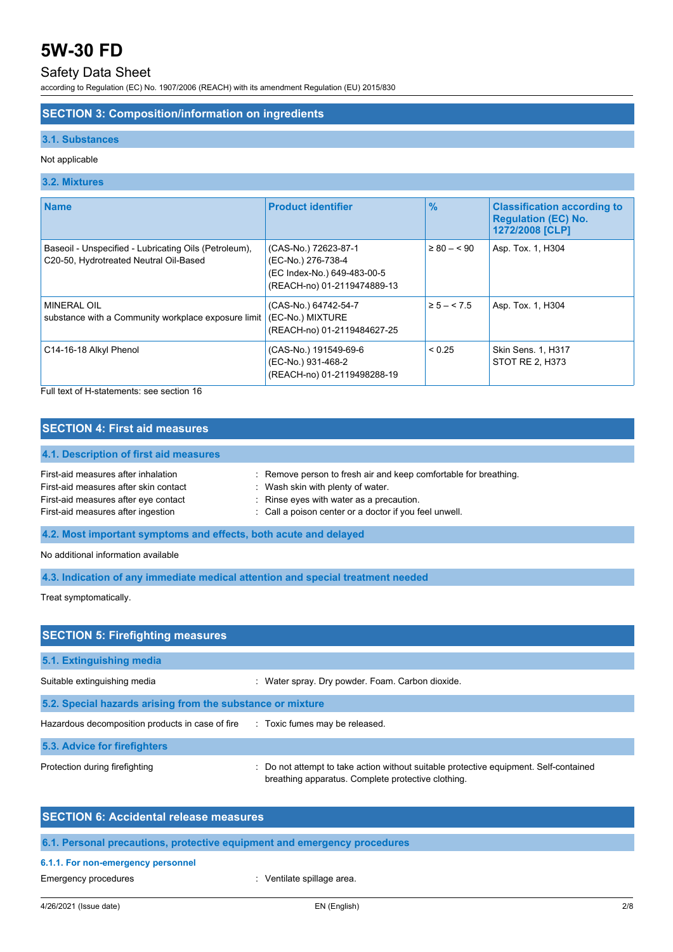## Safety Data Sheet

according to Regulation (EC) No. 1907/2006 (REACH) with its amendment Regulation (EU) 2015/830

### **SECTION 3: Composition/information on ingredients**

#### **3.1. Substances**

#### Not applicable

### **3.2. Mixtures**

| <b>Name</b>                                                                                     | <b>Product identifier</b>                                                                                | $\frac{9}{6}$   | <b>Classification according to</b><br><b>Regulation (EC) No.</b><br>1272/2008 [CLP] |
|-------------------------------------------------------------------------------------------------|----------------------------------------------------------------------------------------------------------|-----------------|-------------------------------------------------------------------------------------|
| Baseoil - Unspecified - Lubricating Oils (Petroleum),<br>C20-50, Hydrotreated Neutral Oil-Based | (CAS-No.) 72623-87-1<br>(EC-No.) 276-738-4<br>(EC Index-No.) 649-483-00-5<br>(REACH-no) 01-2119474889-13 | $\geq 80 - 590$ | Asp. Tox. 1, H304                                                                   |
| <b>MINERAL OIL</b><br>substance with a Community workplace exposure limit                       | (CAS-No.) 64742-54-7<br>(EC-No.) MIXTURE<br>(REACH-no) 01-2119484627-25                                  | $\ge 5 - 5.5$   | Asp. Tox. 1, H304                                                                   |
| C14-16-18 Alkyl Phenol                                                                          | (CAS-No.) 191549-69-6<br>(EC-No.) 931-468-2<br>(REACH-no) 01-2119498288-19                               | < 0.25          | Skin Sens. 1, H317<br>STOT RE 2, H373                                               |

Full text of H-statements: see section 16

## **SECTION 4: First aid measures**

## **4.1. Description of first aid measures** First-aid measures after inhalation : Remove person to fresh air and keep comfortable for breathing. First-aid measures after skin contact : Wash skin with plenty of water.<br>First-aid measures after eye contact : Rinse eyes with water as a pree : Rinse eyes with water as a precaution. First-aid measures after ingestion : Call a poison center or a doctor if you feel unwell.

**4.2. Most important symptoms and effects, both acute and delayed**

No additional information available

**4.3. Indication of any immediate medical attention and special treatment needed**

Treat symptomatically.

| <b>SECTION 5: Firefighting measures</b>                    |                                                                                                                                             |  |  |
|------------------------------------------------------------|---------------------------------------------------------------------------------------------------------------------------------------------|--|--|
| 5.1. Extinguishing media                                   |                                                                                                                                             |  |  |
| Suitable extinguishing media                               | : Water spray. Dry powder. Foam. Carbon dioxide.                                                                                            |  |  |
| 5.2. Special hazards arising from the substance or mixture |                                                                                                                                             |  |  |
| Hazardous decomposition products in case of fire           | : Toxic fumes may be released.                                                                                                              |  |  |
| 5.3. Advice for firefighters                               |                                                                                                                                             |  |  |
| Protection during firefighting                             | : Do not attempt to take action without suitable protective equipment. Self-contained<br>breathing apparatus. Complete protective clothing. |  |  |

| <b>SECTION 6: Accidental release measures</b>                            |
|--------------------------------------------------------------------------|
| 6.1. Personal precautions, protective equipment and emergency procedures |

#### **6.1.1. For non-emergency personnel**

Emergency procedures in the spillage area.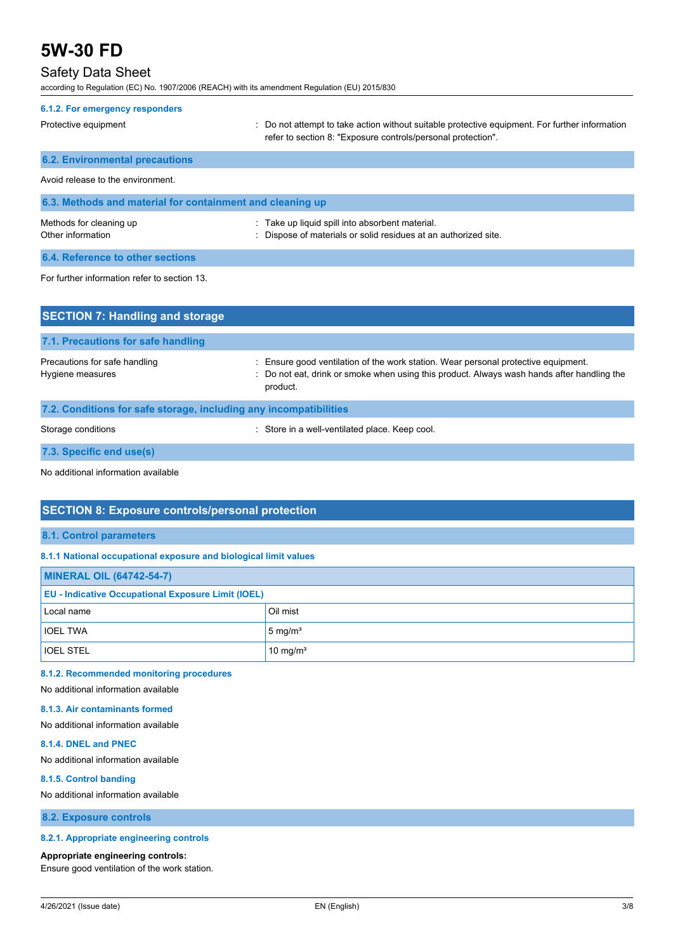## Safety Data Sheet

according to Regulation (EC) No. 1907/2006 (REACH) with its amendment Regulation (EU) 2015/830

| 6.1.2. For emergency responders                           |                                                                                                                                                                |
|-----------------------------------------------------------|----------------------------------------------------------------------------------------------------------------------------------------------------------------|
| Protective equipment                                      | : Do not attempt to take action without suitable protective equipment. For further information<br>refer to section 8. "Exposure controls/personal protection". |
| <b>6.2. Environmental precautions</b>                     |                                                                                                                                                                |
| Avoid release to the environment.                         |                                                                                                                                                                |
| 6.3. Methods and material for containment and cleaning up |                                                                                                                                                                |
| Methods for cleaning up<br>Other information              | : Take up liquid spill into absorbent material.<br>Dispose of materials or solid residues at an authorized site.                                               |
| 6.4. Reference to other sections                          |                                                                                                                                                                |
| For further information refer to section 13.              |                                                                                                                                                                |
| <b>SECTION 7: Handling and storage</b>                    |                                                                                                                                                                |

| 7.1. Precautions for safe handling                                |                                                                                                                                                                                              |
|-------------------------------------------------------------------|----------------------------------------------------------------------------------------------------------------------------------------------------------------------------------------------|
| Precautions for safe handling<br>Hygiene measures                 | : Ensure good ventilation of the work station. Wear personal protective equipment.<br>: Do not eat, drink or smoke when using this product. Always wash hands after handling the<br>product. |
| 7.2. Conditions for safe storage, including any incompatibilities |                                                                                                                                                                                              |

Storage conditions **Storage conditions** : Store in a well-ventilated place. Keep cool.

**7.3. Specific end use(s)**

No additional information available

## **SECTION 8: Exposure controls/personal protection**

#### **8.1. Control parameters**

### **8.1.1 National occupational exposure and biological limit values**

| <b>MINERAL OIL (64742-54-7)</b>                           |                      |  |
|-----------------------------------------------------------|----------------------|--|
| <b>EU - Indicative Occupational Exposure Limit (IOEL)</b> |                      |  |
| Local name                                                | Oil mist             |  |
| <b>IOEL TWA</b>                                           | $5 \text{ mg/m}^3$   |  |
| <b>IOEL STEL</b>                                          | 10 mg/m <sup>3</sup> |  |

## **8.1.2. Recommended monitoring procedures**

## No additional information available

## **8.1.3. Air contaminants formed**

No additional information available

#### **8.1.4. DNEL and PNEC**

No additional information available

#### **8.1.5. Control banding**

No additional information available

**8.2. Exposure controls**

#### **8.2.1. Appropriate engineering controls**

#### **Appropriate engineering controls:**

Ensure good ventilation of the work station.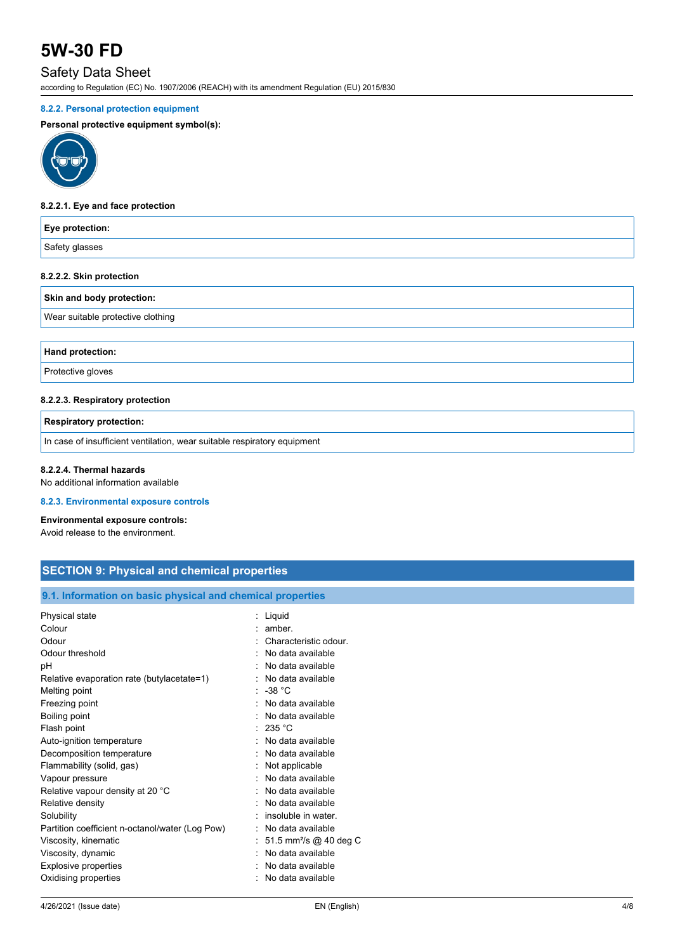## Safety Data Sheet

according to Regulation (EC) No. 1907/2006 (REACH) with its amendment Regulation (EU) 2015/830

## **8.2.2. Personal protection equipment**

### **Personal protective equipment symbol(s):**



#### **8.2.2.1. Eye and face protection**

| Eye protection:                   |  |
|-----------------------------------|--|
| Safety glasses                    |  |
| 8.2.2.2. Skin protection          |  |
| Skin and body protection:         |  |
| Wear suitable protective clothing |  |

**Hand protection:**

Protective gloves

#### **8.2.2.3. Respiratory protection**

**Respiratory protection:**

In case of insufficient ventilation, wear suitable respiratory equipment

#### **8.2.2.4. Thermal hazards**

No additional information available

#### **8.2.3. Environmental exposure controls**

#### **Environmental exposure controls:**

Avoid release to the environment.

## **SECTION 9: Physical and chemical properties**

#### **9.1. Information on basic physical and chemical properties**

| Physical state                                  | Liquid                             |
|-------------------------------------------------|------------------------------------|
| Colour                                          | amber.                             |
| Odour                                           | Characteristic odour.              |
| Odour threshold                                 | No data available                  |
| рH                                              | No data available                  |
| Relative evaporation rate (butylacetate=1)      | No data available                  |
| Melting point                                   | $-38 °C$                           |
| Freezing point                                  | No data available                  |
| Boiling point                                   | No data available                  |
| Flash point                                     | 235 °C                             |
| Auto-ignition temperature                       | No data available                  |
| Decomposition temperature                       | No data available                  |
| Flammability (solid, gas)                       | Not applicable                     |
| Vapour pressure                                 | No data available                  |
| Relative vapour density at 20 °C                | No data available                  |
| Relative density                                | No data available                  |
| Solubility                                      | insoluble in water.                |
| Partition coefficient n-octanol/water (Log Pow) | No data available                  |
| Viscosity, kinematic                            | 51.5 mm <sup>2</sup> /s @ 40 deg C |
| Viscosity, dynamic                              | No data available                  |
| Explosive properties                            | No data available                  |
| Oxidising properties                            | No data available                  |
|                                                 |                                    |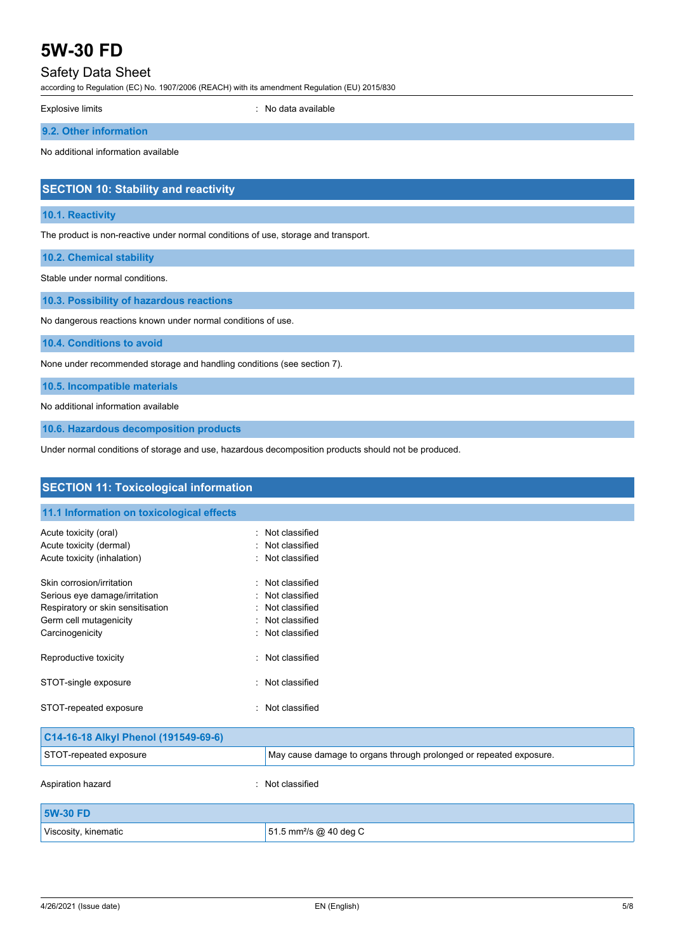## Safety Data Sheet

according to Regulation (EC) No. 1907/2006 (REACH) with its amendment Regulation (EU) 2015/830

Explosive limits **Explosive limits Explosive limits Explosive limits Explosive limits EXPLOSIVE 2018** 

**9.2. Other information**

No additional information available

## **SECTION 10: Stability and reactivity**

#### **10.1. Reactivity**

The product is non-reactive under normal conditions of use, storage and transport.

**10.2. Chemical stability**

Stable under normal conditions.

**10.3. Possibility of hazardous reactions**

No dangerous reactions known under normal conditions of use.

**10.4. Conditions to avoid**

None under recommended storage and handling conditions (see section 7).

**10.5. Incompatible materials**

No additional information available

**10.6. Hazardous decomposition products**

Under normal conditions of storage and use, hazardous decomposition products should not be produced.

| <b>SECTION 11: Toxicological information</b> |                                                                    |  |  |
|----------------------------------------------|--------------------------------------------------------------------|--|--|
| 11.1 Information on toxicological effects    |                                                                    |  |  |
| Acute toxicity (oral)                        | : Not classified                                                   |  |  |
| Acute toxicity (dermal)                      | Not classified                                                     |  |  |
| Acute toxicity (inhalation)                  | : Not classified                                                   |  |  |
| Skin corrosion/irritation                    | Not classified                                                     |  |  |
| Serious eye damage/irritation                | Not classified                                                     |  |  |
| Respiratory or skin sensitisation            | : Not classified                                                   |  |  |
| Germ cell mutagenicity                       | Not classified                                                     |  |  |
| Carcinogenicity                              | Not classified                                                     |  |  |
| Reproductive toxicity                        | Not classified                                                     |  |  |
| STOT-single exposure                         | Not classified<br>÷.                                               |  |  |
| STOT-repeated exposure                       | : Not classified                                                   |  |  |
| C14-16-18 Alkyl Phenol (191549-69-6)         |                                                                    |  |  |
| STOT-repeated exposure                       | May cause damage to organs through prolonged or repeated exposure. |  |  |
| Aspiration hazard                            | Not classified                                                     |  |  |
| <b>5W-30 FD</b>                              |                                                                    |  |  |
| Viscosity, kinematic                         | 51.5 mm <sup>2</sup> /s @ 40 deg C                                 |  |  |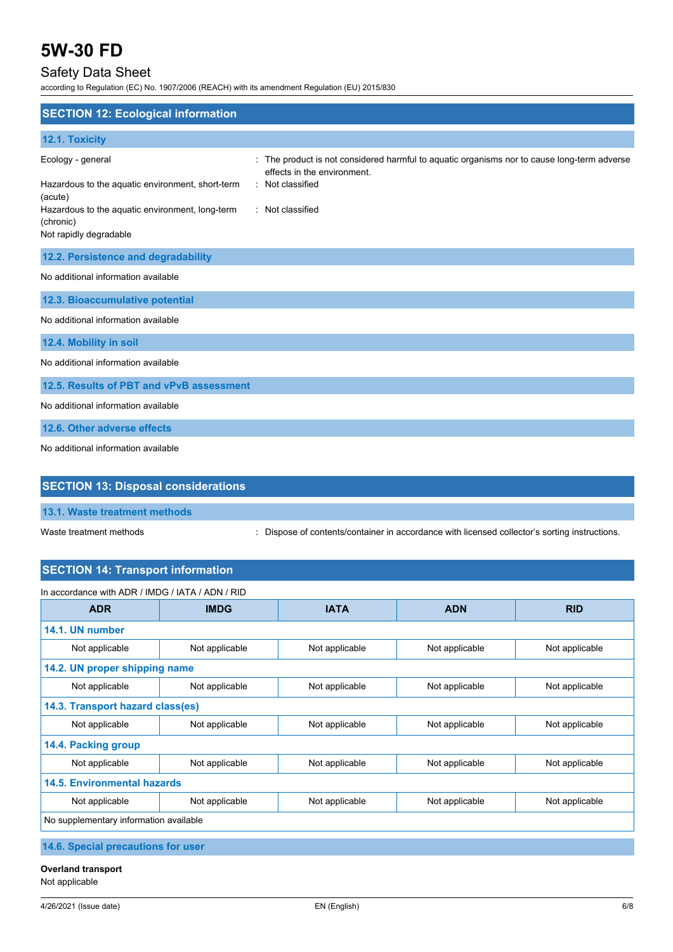## Safety Data Sheet

according to Regulation (EC) No. 1907/2006 (REACH) with its amendment Regulation (EU) 2015/830

| <b>SECTION 12: Ecological information</b>                                                                                                                                  |                                                                                                                                                                |
|----------------------------------------------------------------------------------------------------------------------------------------------------------------------------|----------------------------------------------------------------------------------------------------------------------------------------------------------------|
| 12.1. Toxicity                                                                                                                                                             |                                                                                                                                                                |
| Ecology - general<br>Hazardous to the aquatic environment, short-term<br>(acute)<br>Hazardous to the aquatic environment, long-term<br>(chronic)<br>Not rapidly degradable | The product is not considered harmful to aquatic organisms nor to cause long-term adverse<br>effects in the environment.<br>Not classified<br>: Not classified |
| 12.2. Persistence and degradability                                                                                                                                        |                                                                                                                                                                |
| No additional information available                                                                                                                                        |                                                                                                                                                                |
| 12.3. Bioaccumulative potential                                                                                                                                            |                                                                                                                                                                |
| No additional information available                                                                                                                                        |                                                                                                                                                                |
| 12.4. Mobility in soil                                                                                                                                                     |                                                                                                                                                                |
| No additional information available                                                                                                                                        |                                                                                                                                                                |
| 12.5. Results of PBT and vPvB assessment                                                                                                                                   |                                                                                                                                                                |
| No additional information available                                                                                                                                        |                                                                                                                                                                |
| 12.6. Other adverse effects                                                                                                                                                |                                                                                                                                                                |
| No additional information available                                                                                                                                        |                                                                                                                                                                |
| <b>SECTION 13: Disposal considerations</b>                                                                                                                                 |                                                                                                                                                                |

|  | 13.1. Waste treatment methods |  |
|--|-------------------------------|--|

Waste treatment methods : Dispose of contents/container in accordance with licensed collector's sorting instructions.

## **SECTION 14: Transport information**

| In accordance with ADR / IMDG / IATA / ADN / RID |                |                |                |                |
|--------------------------------------------------|----------------|----------------|----------------|----------------|
| <b>ADR</b>                                       | <b>IMDG</b>    | <b>IATA</b>    | <b>ADN</b>     | <b>RID</b>     |
| 14.1. UN number                                  |                |                |                |                |
| Not applicable                                   | Not applicable | Not applicable | Not applicable | Not applicable |
| 14.2. UN proper shipping name                    |                |                |                |                |
| Not applicable                                   | Not applicable | Not applicable | Not applicable | Not applicable |
| 14.3. Transport hazard class(es)                 |                |                |                |                |
| Not applicable                                   | Not applicable | Not applicable | Not applicable | Not applicable |
| 14.4. Packing group                              |                |                |                |                |
| Not applicable                                   | Not applicable | Not applicable | Not applicable | Not applicable |
| <b>14.5. Environmental hazards</b>               |                |                |                |                |
| Not applicable                                   | Not applicable | Not applicable | Not applicable | Not applicable |
| No supplementary information available           |                |                |                |                |
| A A A Andreal concernations from the co-         |                |                |                |                |

**14.6. Special precautions for user**

**Overland transport** Not applicable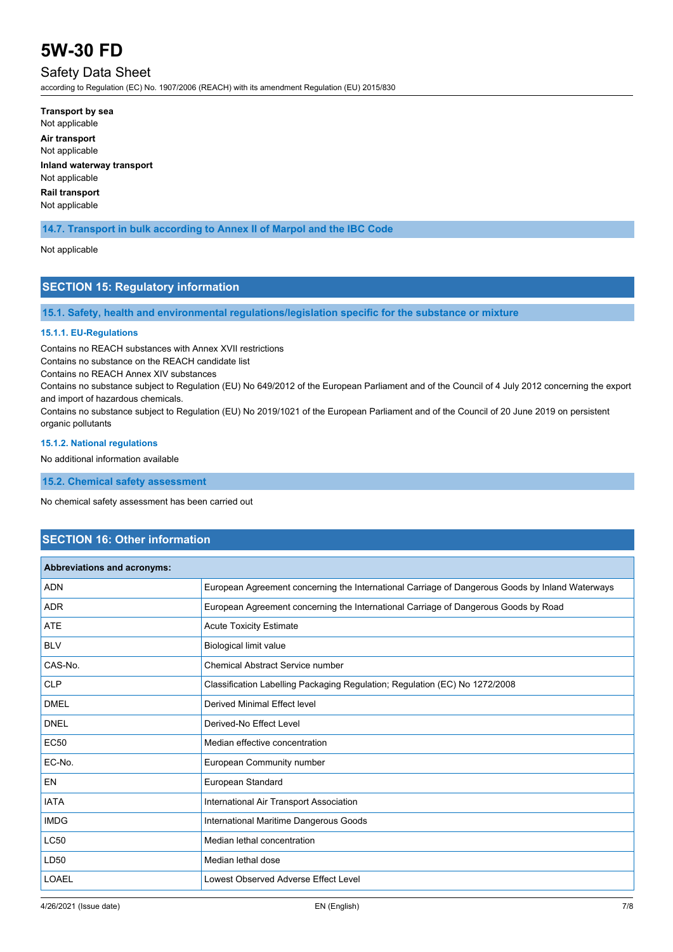## Safety Data Sheet

according to Regulation (EC) No. 1907/2006 (REACH) with its amendment Regulation (EU) 2015/830

**Transport by sea** Not applicable **Air transport** Not applicable **Inland waterway transport** Not applicable **Rail transport** Not applicable

## **14.7. Transport in bulk according to Annex II of Marpol and the IBC Code**

#### Not applicable

## **SECTION 15: Regulatory information**

**15.1. Safety, health and environmental regulations/legislation specific for the substance or mixture**

#### **15.1.1. EU-Regulations**

Contains no REACH substances with Annex XVII restrictions

Contains no substance on the REACH candidate list

Contains no REACH Annex XIV substances

Contains no substance subject to Regulation (EU) No 649/2012 of the European Parliament and of the Council of 4 July 2012 concerning the export and import of hazardous chemicals.

Contains no substance subject to Regulation (EU) No 2019/1021 of the European Parliament and of the Council of 20 June 2019 on persistent organic pollutants

#### **15.1.2. National regulations**

No additional information available

**15.2. Chemical safety assessment**

No chemical safety assessment has been carried out

## **SECTION 16: Other information**

| <b>Abbreviations and acronyms:</b> |                                                                                                 |
|------------------------------------|-------------------------------------------------------------------------------------------------|
| <b>ADN</b>                         | European Agreement concerning the International Carriage of Dangerous Goods by Inland Waterways |
| <b>ADR</b>                         | European Agreement concerning the International Carriage of Dangerous Goods by Road             |
| <b>ATE</b>                         | <b>Acute Toxicity Estimate</b>                                                                  |
| <b>BLV</b>                         | Biological limit value                                                                          |
| CAS-No.                            | <b>Chemical Abstract Service number</b>                                                         |
| <b>CLP</b>                         | Classification Labelling Packaging Regulation; Regulation (EC) No 1272/2008                     |
| <b>DMEL</b>                        | Derived Minimal Effect level                                                                    |
| <b>DNEL</b>                        | Derived-No Effect Level                                                                         |
| <b>EC50</b>                        | Median effective concentration                                                                  |
| EC-No.                             | European Community number                                                                       |
| EN                                 | European Standard                                                                               |
| <b>IATA</b>                        | International Air Transport Association                                                         |
| <b>IMDG</b>                        | International Maritime Dangerous Goods                                                          |
| <b>LC50</b>                        | Median lethal concentration                                                                     |
| LD50                               | Median lethal dose                                                                              |
| <b>LOAEL</b>                       | Lowest Observed Adverse Effect Level                                                            |